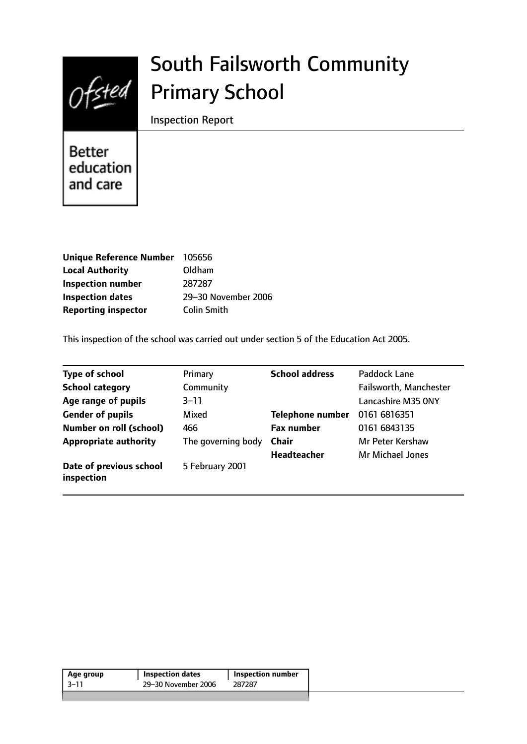

# South Failsworth Community Primary School

Inspection Report

**Better** education and care

| <b>Unique Reference Number</b> | 105656              |
|--------------------------------|---------------------|
| <b>Local Authority</b>         | Oldham              |
| <b>Inspection number</b>       | 287287              |
| <b>Inspection dates</b>        | 29-30 November 2006 |
| <b>Reporting inspector</b>     | <b>Colin Smith</b>  |

This inspection of the school was carried out under section 5 of the Education Act 2005.

| <b>Type of school</b>                 | Primary            | <b>School address</b>   | Paddock Lane            |
|---------------------------------------|--------------------|-------------------------|-------------------------|
| <b>School category</b>                | Community          |                         | Failsworth, Manchester  |
| Age range of pupils                   | $3 - 11$           |                         | Lancashire M35 ONY      |
| <b>Gender of pupils</b>               | Mixed              | <b>Telephone number</b> | 0161 6816351            |
| <b>Number on roll (school)</b>        | 466                | <b>Fax number</b>       | 0161 6843135            |
| <b>Appropriate authority</b>          | The governing body | <b>Chair</b>            | Mr Peter Kershaw        |
|                                       |                    | Headteacher             | <b>Mr Michael Jones</b> |
| Date of previous school<br>inspection | 5 February 2001    |                         |                         |

| 29–30 November 2006<br>287287 | Age group | <b>Inspection dates</b> | <b>Inspection number</b> |  |
|-------------------------------|-----------|-------------------------|--------------------------|--|
|                               | ่ 3–11    |                         |                          |  |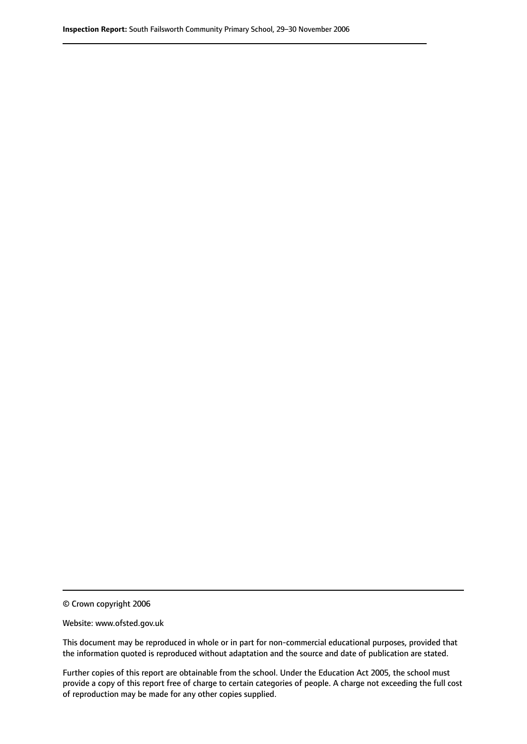© Crown copyright 2006

Website: www.ofsted.gov.uk

This document may be reproduced in whole or in part for non-commercial educational purposes, provided that the information quoted is reproduced without adaptation and the source and date of publication are stated.

Further copies of this report are obtainable from the school. Under the Education Act 2005, the school must provide a copy of this report free of charge to certain categories of people. A charge not exceeding the full cost of reproduction may be made for any other copies supplied.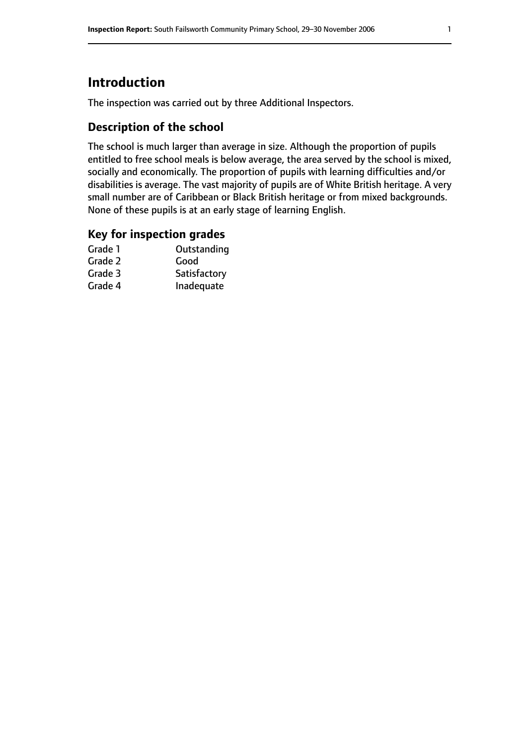# **Introduction**

The inspection was carried out by three Additional Inspectors.

## **Description of the school**

The school is much larger than average in size. Although the proportion of pupils entitled to free school meals is below average, the area served by the school is mixed, socially and economically. The proportion of pupils with learning difficulties and/or disabilities is average. The vast majority of pupils are of White British heritage. A very small number are of Caribbean or Black British heritage or from mixed backgrounds. None of these pupils is at an early stage of learning English.

## **Key for inspection grades**

| Outstanding  |
|--------------|
| Good         |
| Satisfactory |
| Inadequate   |
|              |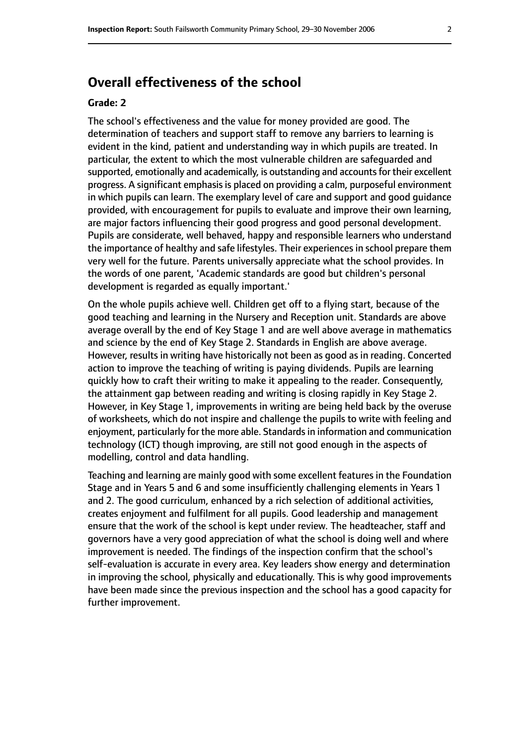# **Overall effectiveness of the school**

#### **Grade: 2**

The school's effectiveness and the value for money provided are good. The determination of teachers and support staff to remove any barriers to learning is evident in the kind, patient and understanding way in which pupils are treated. In particular, the extent to which the most vulnerable children are safeguarded and supported, emotionally and academically, is outstanding and accounts for their excellent progress. A significant emphasis is placed on providing a calm, purposeful environment in which pupils can learn. The exemplary level of care and support and good guidance provided, with encouragement for pupils to evaluate and improve their own learning, are major factors influencing their good progress and good personal development. Pupils are considerate, well behaved, happy and responsible learners who understand the importance of healthy and safe lifestyles. Their experiences in school prepare them very well for the future. Parents universally appreciate what the school provides. In the words of one parent, 'Academic standards are good but children's personal development is regarded as equally important.'

On the whole pupils achieve well. Children get off to a flying start, because of the good teaching and learning in the Nursery and Reception unit. Standards are above average overall by the end of Key Stage 1 and are well above average in mathematics and science by the end of Key Stage 2. Standards in English are above average. However, results in writing have historically not been as good as in reading. Concerted action to improve the teaching of writing is paying dividends. Pupils are learning quickly how to craft their writing to make it appealing to the reader. Consequently, the attainment gap between reading and writing is closing rapidly in Key Stage 2. However, in Key Stage 1, improvements in writing are being held back by the overuse of worksheets, which do not inspire and challenge the pupils to write with feeling and enjoyment, particularly for the more able. Standardsin information and communication technology (ICT) though improving, are still not good enough in the aspects of modelling, control and data handling.

Teaching and learning are mainly good with some excellent features in the Foundation Stage and in Years 5 and 6 and some insufficiently challenging elements in Years 1 and 2. The good curriculum, enhanced by a rich selection of additional activities, creates enjoyment and fulfilment for all pupils. Good leadership and management ensure that the work of the school is kept under review. The headteacher, staff and governors have a very good appreciation of what the school is doing well and where improvement is needed. The findings of the inspection confirm that the school's self-evaluation is accurate in every area. Key leaders show energy and determination in improving the school, physically and educationally. This is why good improvements have been made since the previous inspection and the school has a good capacity for further improvement.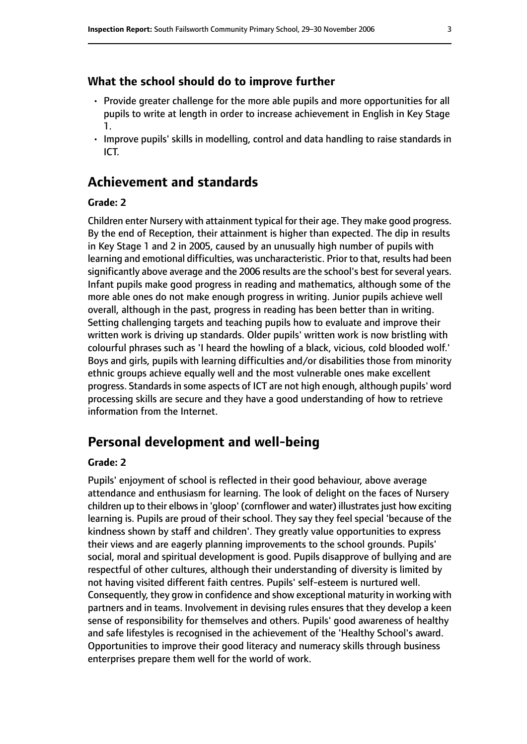### **What the school should do to improve further**

- Provide greater challenge for the more able pupils and more opportunities for all pupils to write at length in order to increase achievement in English in Key Stage 1.
- Improve pupils' skills in modelling, control and data handling to raise standards in ICT.

## **Achievement and standards**

#### **Grade: 2**

Children enter Nursery with attainment typical for their age. They make good progress. By the end of Reception, their attainment is higher than expected. The dip in results in Key Stage 1 and 2 in 2005, caused by an unusually high number of pupils with learning and emotional difficulties, was uncharacteristic. Prior to that, results had been significantly above average and the 2006 results are the school's best for several years. Infant pupils make good progress in reading and mathematics, although some of the more able ones do not make enough progress in writing. Junior pupils achieve well overall, although in the past, progress in reading has been better than in writing. Setting challenging targets and teaching pupils how to evaluate and improve their written work is driving up standards. Older pupils' written work is now bristling with colourful phrases such as 'I heard the howling of a black, vicious, cold blooded wolf.' Boys and girls, pupils with learning difficulties and/or disabilities those from minority ethnic groups achieve equally well and the most vulnerable ones make excellent progress. Standardsin some aspects of ICT are not high enough, although pupils' word processing skills are secure and they have a good understanding of how to retrieve information from the Internet.

# **Personal development and well-being**

## **Grade: 2**

Pupils' enjoyment of school is reflected in their good behaviour, above average attendance and enthusiasm for learning. The look of delight on the faces of Nursery children up to their elbows in 'gloop' (cornflower and water) illustrates just how exciting learning is. Pupils are proud of their school. They say they feel special 'because of the kindness shown by staff and children'. They greatly value opportunities to express their views and are eagerly planning improvements to the school grounds. Pupils' social, moral and spiritual development is good. Pupils disapprove of bullying and are respectful of other cultures, although their understanding of diversity is limited by not having visited different faith centres. Pupils' self-esteem is nurtured well. Consequently, they grow in confidence and show exceptional maturity in working with partners and in teams. Involvement in devising rules ensures that they develop a keen sense of responsibility for themselves and others. Pupils' good awareness of healthy and safe lifestyles is recognised in the achievement of the 'Healthy School's award. Opportunities to improve their good literacy and numeracy skills through business enterprises prepare them well for the world of work.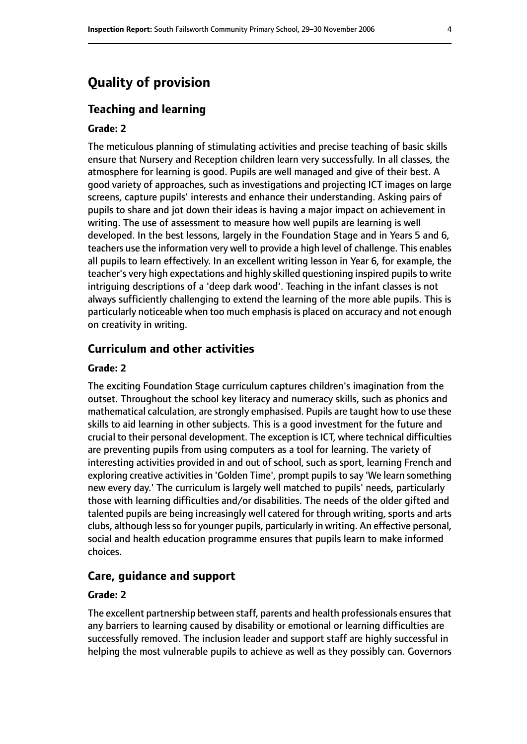# **Quality of provision**

## **Teaching and learning**

#### **Grade: 2**

The meticulous planning of stimulating activities and precise teaching of basic skills ensure that Nursery and Reception children learn very successfully. In all classes, the atmosphere for learning is good. Pupils are well managed and give of their best. A good variety of approaches, such as investigations and projecting ICT images on large screens, capture pupils' interests and enhance their understanding. Asking pairs of pupils to share and jot down their ideas is having a major impact on achievement in writing. The use of assessment to measure how well pupils are learning is well developed. In the best lessons, largely in the Foundation Stage and in Years 5 and 6, teachers use the information very well to provide a high level of challenge. This enables all pupils to learn effectively. In an excellent writing lesson in Year 6, for example, the teacher's very high expectations and highly skilled questioning inspired pupilsto write intriguing descriptions of a 'deep dark wood'. Teaching in the infant classes is not always sufficiently challenging to extend the learning of the more able pupils. This is particularly noticeable when too much emphasis is placed on accuracy and not enough on creativity in writing.

## **Curriculum and other activities**

#### **Grade: 2**

The exciting Foundation Stage curriculum captures children's imagination from the outset. Throughout the school key literacy and numeracy skills, such as phonics and mathematical calculation, are strongly emphasised. Pupils are taught how to use these skills to aid learning in other subjects. This is a good investment for the future and crucial to their personal development. The exception is ICT, where technical difficulties are preventing pupils from using computers as a tool for learning. The variety of interesting activities provided in and out of school, such as sport, learning French and exploring creative activities in 'Golden Time', prompt pupils to say 'We learn something new every day.' The curriculum is largely well matched to pupils' needs, particularly those with learning difficulties and/or disabilities. The needs of the older gifted and talented pupils are being increasingly well catered for through writing, sports and arts clubs, although less so for younger pupils, particularly in writing. An effective personal, social and health education programme ensures that pupils learn to make informed choices.

## **Care, guidance and support**

#### **Grade: 2**

The excellent partnership between staff, parents and health professionals ensures that any barriers to learning caused by disability or emotional or learning difficulties are successfully removed. The inclusion leader and support staff are highly successful in helping the most vulnerable pupils to achieve as well as they possibly can. Governors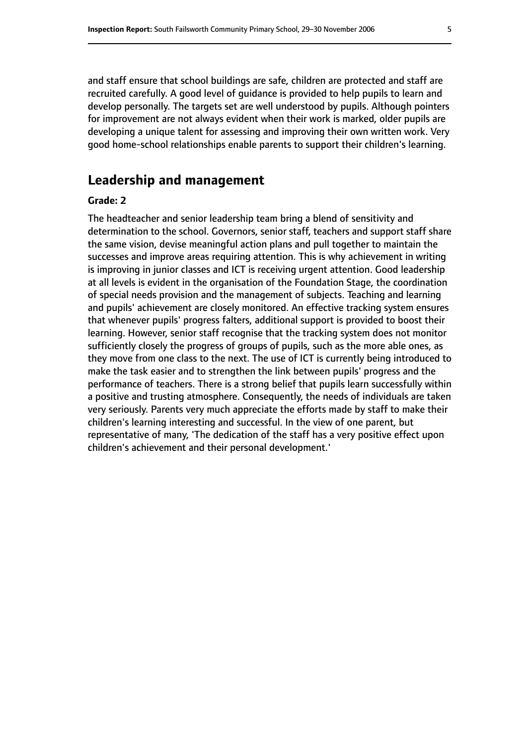and staff ensure that school buildings are safe, children are protected and staff are recruited carefully. A good level of guidance is provided to help pupils to learn and develop personally. The targets set are well understood by pupils. Although pointers for improvement are not always evident when their work is marked, older pupils are developing a unique talent for assessing and improving their own written work. Very good home-school relationships enable parents to support their children's learning.

# **Leadership and management**

## **Grade: 2**

The headteacher and senior leadership team bring a blend of sensitivity and determination to the school. Governors, senior staff, teachers and support staff share the same vision, devise meaningful action plans and pull together to maintain the successes and improve areas requiring attention. This is why achievement in writing is improving in junior classes and ICT is receiving urgent attention. Good leadership at all levels is evident in the organisation of the Foundation Stage, the coordination of special needs provision and the management of subjects. Teaching and learning and pupils' achievement are closely monitored. An effective tracking system ensures that whenever pupils' progress falters, additional support is provided to boost their learning. However, senior staff recognise that the tracking system does not monitor sufficiently closely the progress of groups of pupils, such as the more able ones, as they move from one class to the next. The use of ICT is currently being introduced to make the task easier and to strengthen the link between pupils' progress and the performance of teachers. There is a strong belief that pupils learn successfully within a positive and trusting atmosphere. Consequently, the needs of individuals are taken very seriously. Parents very much appreciate the efforts made by staff to make their children's learning interesting and successful. In the view of one parent, but representative of many, 'The dedication of the staff has a very positive effect upon children's achievement and their personal development.'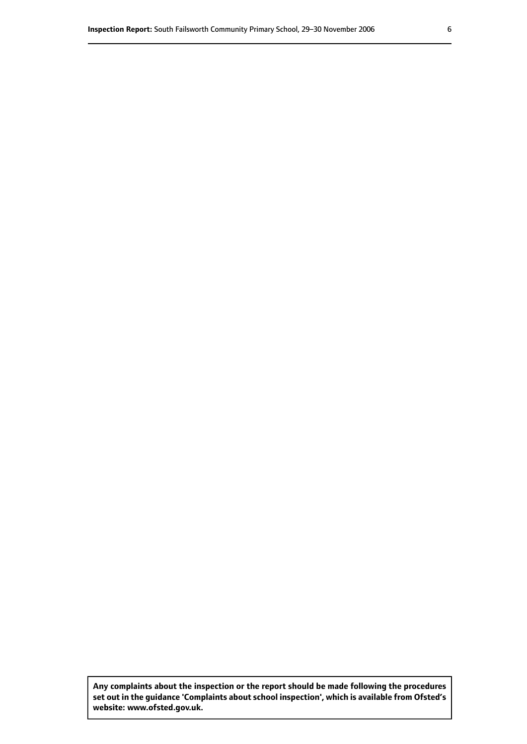**Any complaints about the inspection or the report should be made following the procedures set out inthe guidance 'Complaints about school inspection', whichis available from Ofsted's website: www.ofsted.gov.uk.**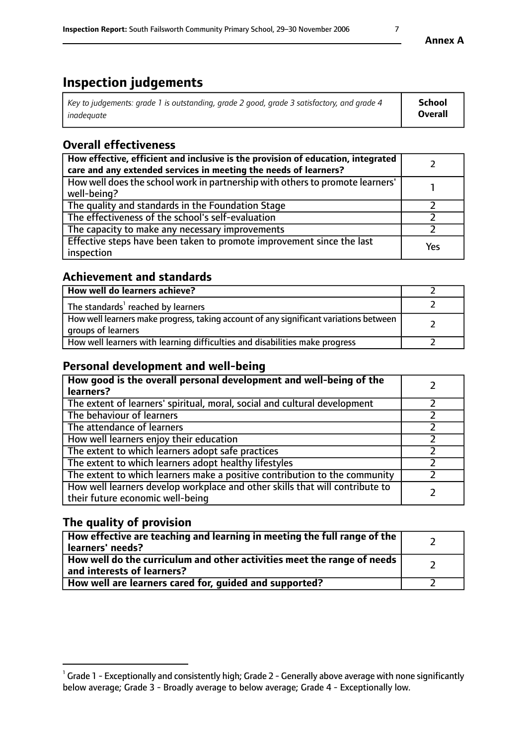# **Inspection judgements**

| Key to judgements: grade 1 is outstanding, grade 2 good, grade 3 satisfactory, and grade 4 | School         |
|--------------------------------------------------------------------------------------------|----------------|
| inadeauate                                                                                 | <b>Overall</b> |

# **Overall effectiveness**

| How effective, efficient and inclusive is the provision of education, integrated<br>care and any extended services in meeting the needs of learners? |     |
|------------------------------------------------------------------------------------------------------------------------------------------------------|-----|
| How well does the school work in partnership with others to promote learners'<br>well-being?                                                         |     |
| The quality and standards in the Foundation Stage                                                                                                    |     |
| The effectiveness of the school's self-evaluation                                                                                                    |     |
| The capacity to make any necessary improvements                                                                                                      |     |
| Effective steps have been taken to promote improvement since the last<br>inspection                                                                  | Yes |

## **Achievement and standards**

| How well do learners achieve?                                                                               |  |
|-------------------------------------------------------------------------------------------------------------|--|
| The standards <sup>1</sup> reached by learners                                                              |  |
| How well learners make progress, taking account of any significant variations between<br>groups of learners |  |
| How well learners with learning difficulties and disabilities make progress                                 |  |

## **Personal development and well-being**

| How good is the overall personal development and well-being of the<br>learners?                                  |  |
|------------------------------------------------------------------------------------------------------------------|--|
| The extent of learners' spiritual, moral, social and cultural development                                        |  |
| The behaviour of learners                                                                                        |  |
| The attendance of learners                                                                                       |  |
| How well learners enjoy their education                                                                          |  |
| The extent to which learners adopt safe practices                                                                |  |
| The extent to which learners adopt healthy lifestyles                                                            |  |
| The extent to which learners make a positive contribution to the community                                       |  |
| How well learners develop workplace and other skills that will contribute to<br>their future economic well-being |  |

## **The quality of provision**

| How effective are teaching and learning in meeting the full range of the<br>  learners' needs?                      |  |
|---------------------------------------------------------------------------------------------------------------------|--|
| $\mid$ How well do the curriculum and other activities meet the range of needs<br>$\mid$ and interests of learners? |  |
| How well are learners cared for, guided and supported?                                                              |  |

 $^1$  Grade 1 - Exceptionally and consistently high; Grade 2 - Generally above average with none significantly below average; Grade 3 - Broadly average to below average; Grade 4 - Exceptionally low.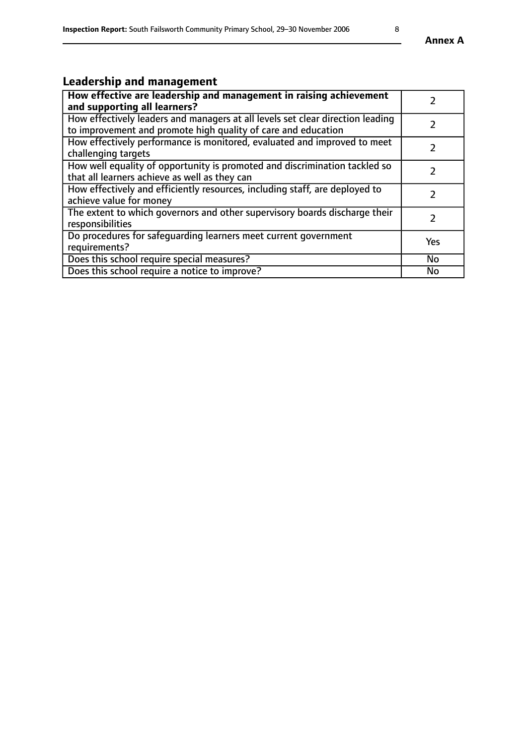# **Leadership and management**

| How effective are leadership and management in raising achievement<br>and supporting all learners?                                              |               |
|-------------------------------------------------------------------------------------------------------------------------------------------------|---------------|
| How effectively leaders and managers at all levels set clear direction leading<br>to improvement and promote high quality of care and education |               |
| How effectively performance is monitored, evaluated and improved to meet<br>challenging targets                                                 |               |
| How well equality of opportunity is promoted and discrimination tackled so<br>that all learners achieve as well as they can                     |               |
| How effectively and efficiently resources, including staff, are deployed to<br>achieve value for money                                          | $\mathcal{P}$ |
| The extent to which governors and other supervisory boards discharge their<br>responsibilities                                                  |               |
| Do procedures for safequarding learners meet current government<br>requirements?                                                                | Yes           |
| Does this school require special measures?                                                                                                      | No            |
| Does this school require a notice to improve?                                                                                                   | <b>No</b>     |